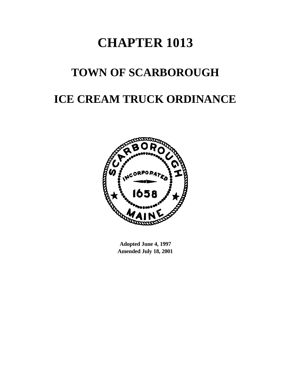# **CHAPTER 1013**

## **TOWN OF SCARBOROUGH**

### **ICE CREAM TRUCK ORDINANCE**



**Adopted June 4, 1997 Amended July 18, 2001**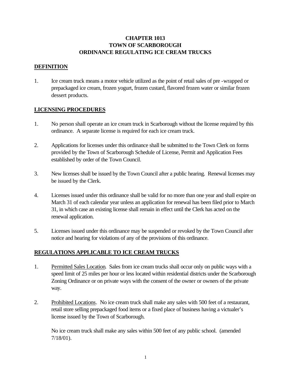#### **CHAPTER 1013 TOWN OF SCARBOROUGH ORDINANCE REGULATING ICE CREAM TRUCKS**

#### **DEFINITION**

1. Ice cream truck means a motor vehicle utilized as the point of retail sales of pre -wrapped or prepackaged ice cream, frozen yogurt, frozen custard, flavored frozen water or similar frozen dessert products.

#### **LICENSING PROCEDURES**

- 1. No person shall operate an ice cream truck in Scarborough without the license required by this ordinance. A separate license is required for each ice cream truck.
- 2. Applications for licenses under this ordinance shall be submitted to the Town Clerk on forms provided by the Town of Scarborough Schedule of License, Permit and Application Fees established by order of the Town Council.
- 3. New licenses shall be issued by the Town Council after a public hearing. Renewal licenses may be issued by the Clerk.
- 4. Licenses issued under this ordinance shall be valid for no more than one year and shall expire on March 31 of each calendar year unless an application for renewal has been filed prior to March 31, in which case an existing license shall remain in effect until the Clerk has acted on the renewal application.
- 5. Licenses issued under this ordinance may be suspended or revoked by the Town Council after notice and hearing for violations of any of the provisions of this ordinance.

#### **REGULATIONS APPLICABLE TO ICE CREAM TRUCKS**

- 1. Permitted Sales Location. Sales from ice cream trucks shall occur only on public ways with a speed limit of 25 miles per hour or less located within residential districts under the Scarborough Zoning Ordinance or on private ways with the consent of the owner or owners of the private way.
- 2. Prohibited Locations. No ice cream truck shall make any sales with 500 feet of a restaurant, retail store selling prepackaged food items or a fixed place of business having a victualer's license issued by the Town of Scarborough.

No ice cream truck shall make any sales within 500 feet of any public school. (amended 7/18/01).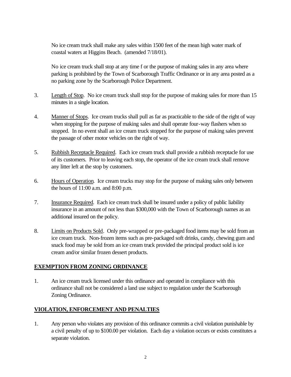No ice cream truck shall make any sales within 1500 feet of the mean high water mark of coastal waters at Higgins Beach. (amended 7/18/01).

No ice cream truck shall stop at any time f or the purpose of making sales in any area where parking is prohibited by the Town of Scarborough Traffic Ordinance or in any area posted as a no parking zone by the Scarborough Police Department.

- 3. Length of Stop. No ice cream truck shall stop for the purpose of making sales for more than 15 minutes in a single location.
- 4. Manner of Stops. Ice cream trucks shall pull as far as practicable to the side of the right of way when stopping for the purpose of making sales and shall operate four-way flashers when so stopped. In no event shall an ice cream truck stopped for the purpose of making sales prevent the passage of other motor vehicles on the right of way.
- 5. Rubbish Receptacle Required. Each ice cream truck shall provide a rubbish receptacle for use of its customers. Prior to leaving each stop, the operator of the ice cream truck shall remove any litter left at the stop by customers.
- 6. Hours of Operation. Ice cream trucks may stop for the purpose of making sales only between the hours of 11:00 a.m. and 8:00 p.m.
- 7. Insurance Required. Each ice cream truck shall be insured under a policy of public liability insurance in an amount of not less than \$300,000 with the Town of Scarborough names as an additional insured on the policy.
- 8. Limits on Products Sold. Only pre-wrapped or pre-packaged food items may be sold from an ice cream truck. Non-frozen items such as pre-packaged soft drinks, candy, chewing gum and snack food may be sold from an ice cream truck provided the principal product sold is ice cream and/or similar frozen dessert products.

#### **EXEMPTION FROM ZONING ORDINANCE**

1. An ice cream truck licensed under this ordinance and operated in compliance with this ordinance shall not be considered a land use subject to regulation under the Scarborough Zoning Ordinance.

#### **VIOLATION, ENFORCEMENT AND PENALTIES**

1. Any person who violates any provision of this ordinance commits a civil violation punishable by a civil penalty of up to \$100.00 per violation. Each day a violation occurs or exists constitutes a separate violation.